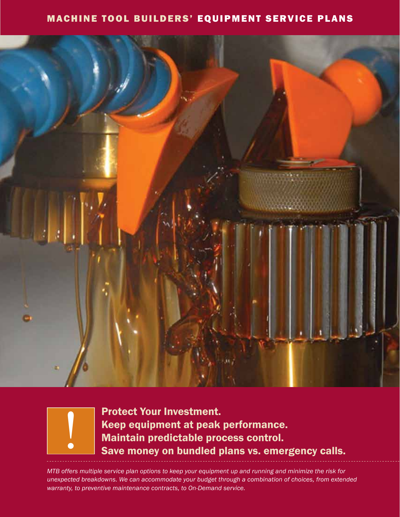## MACHINE TOOL BUILDERS' EQUIPMENT SERVICE PLANS



<u>|</u>

Protect Your Investment. Keep equipment at peak performance. Maintain predictable process control. Save money on bundled plans vs. emergency calls.

*MTB offers multiple service plan options to keep your equipment up and running and minimize the risk for unexpected breakdowns. We can accommodate your budget through a combination of choices, from extended warranty, to preventive maintenance contracts, to On-Demand service.*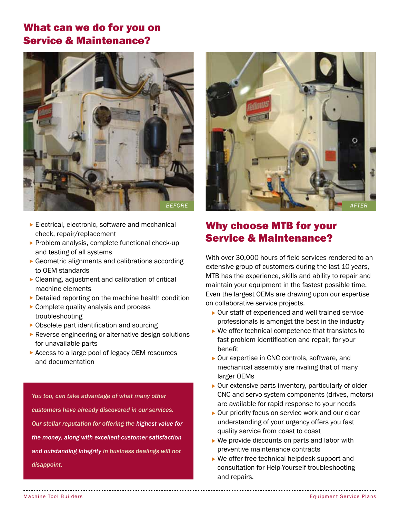## What can we do for you on Service & Maintenance?



- $\blacktriangleright$  Electrical, electronic, software and mechanical check, repair/replacement
- $\blacktriangleright$  Problem analysis, complete functional check-up and testing of all systems
- $\triangleright$  Geometric alignments and calibrations according to OEM standards
- $\triangleright$  Cleaning, adjustment and calibration of critical machine elements
- $\triangleright$  Detailed reporting on the machine health condition
- $\triangleright$  Complete quality analysis and process troubleshooting
- $\triangleright$  Obsolete part identification and sourcing
- $\blacktriangleright$  Reverse engineering or alternative design solutions for unavailable parts
- $\triangleright$  Access to a large pool of legacy OEM resources and documentation

*You too, can take advantage of what many other customers have already discovered in our services. Our stellar reputation for offering the highest value for the money, along with excellent customer satisfaction and outstanding integrity in business dealings will not disappoint.*



# Why choose MTB for your Service & Maintenance?

With over 30,000 hours of field services rendered to an extensive group of customers during the last 10 years, MTB has the experience, skills and ability to repair and maintain your equipment in the fastest possible time. Even the largest OEMs are drawing upon our expertise on collaborative service projects.

- $\triangleright$  Our staff of experienced and well trained service professionals is amongst the best in the industry
- $\blacktriangleright$  We offer technical competence that translates to fast problem identification and repair, for your benefit
- $\triangleright$  Our expertise in CNC controls, software, and mechanical assembly are rivaling that of many larger OEMs
- $\triangleright$  Our extensive parts inventory, particularly of older CNC and servo system components (drives, motors) are available for rapid response to your needs
- $\triangleright$  Our priority focus on service work and our clear understanding of your urgency offers you fast quality service from coast to coast
- $\triangleright$  We provide discounts on parts and labor with preventive maintenance contracts
- $\triangleright$  We offer free technical helpdesk support and consultation for Help-Yourself troubleshooting and repairs.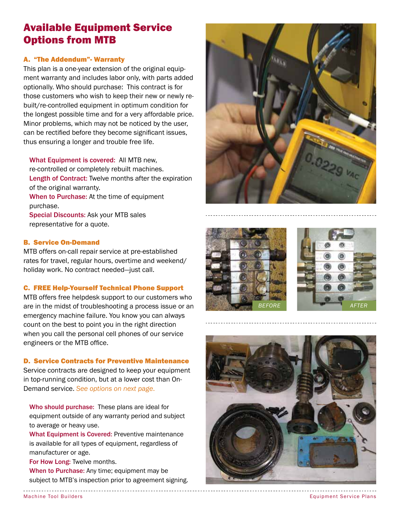## Available Equipment Service Options from MTB

### A. "The Addendum"- Warranty

This plan is a one-year extension of the original equipment warranty and includes labor only, with parts added optionally. Who should purchase: This contract is for those customers who wish to keep their new or newly rebuilt/re-controlled equipment in optimum condition for the longest possible time and for a very affordable price. Minor problems, which may not be noticed by the user, can be rectified before they become significant issues, thus ensuring a longer and trouble free life.

What Equipment is covered: All MTB new, re-controlled or completely rebuilt machines. Length of Contract: Twelve months after the expiration of the original warranty. When to Purchase: At the time of equipment purchase. Special Discounts: Ask your MTB sales representative for a quote.

### B. Service On-Demand

MTB offers on-call repair service at pre-established rates for travel, regular hours, overtime and weekend/ holiday work. No contract needed―just call.

### C. FREE Help-Yourself Technical Phone Support

MTB offers free helpdesk support to our customers who are in the midst of troubleshooting a process issue or an emergency machine failure. You know you can always count on the best to point you in the right direction when you call the personal cell phones of our service engineers or the MTB office.

## D. Service Contracts for Preventive Maintenance

Service contracts are designed to keep your equipment in top-running condition, but at a lower cost than On-Demand service. *See options on next page*.

Who should purchase: These plans are ideal for equipment outside of any warranty period and subject to average or heavy use.

What Equipment is Covered: Preventive maintenance is available for all types of equipment, regardless of manufacturer or age.

For How Long: Twelve months. When to Purchase: Any time; equipment may be subject to MTB's inspection prior to agreement signing.